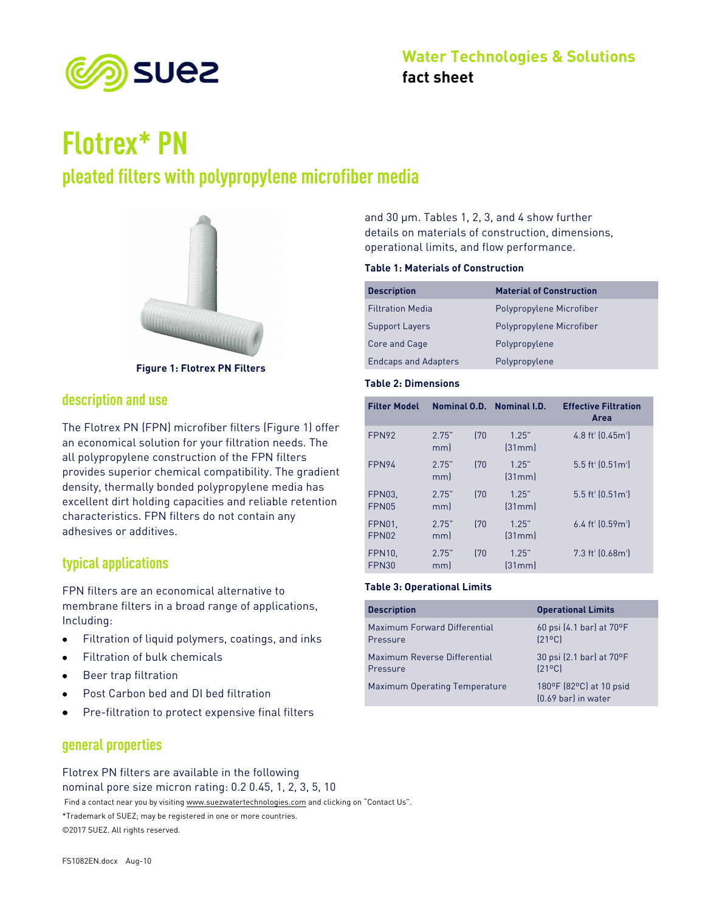

# **Flotrex\* PN**

## **pleated filters with polypropylene microfiber media**



**Figure 1: Flotrex PN Filters**

## **description and use**

The Flotrex PN (FPN) microfiber filters (Figure 1) offer an economical solution for your filtration needs. The all polypropylene construction of the FPN filters provides superior chemical compatibility. The gradient density, thermally bonded polypropylene media has excellent dirt holding capacities and reliable retention characteristics. FPN filters do not contain any adhesives or additives.

## **typical applications**

FPN filters are an economical alternative to membrane filters in a broad range of applications, Including:

- Filtration of liquid polymers, coatings, and inks
- Filtration of bulk chemicals
- Beer trap filtration
- Post Carbon bed and DI bed filtration
- Pre-filtration to protect expensive final filters

## **general properties**

Find a contact near you by visiting www.suezwatertechnologies.com and clicking on "Contact Us". \*Trademark of SUEZ; may be registered in one or more countries. ©2017 SUEZ. All rights reserved. Flotrex PN filters are available in the following nominal pore size micron rating: 0.2 0.45, 1, 2, 3, 5, 10

and 30 µm. Tables 1, 2, 3, and 4 show further details on materials of construction, dimensions, operational limits, and flow performance.

#### **Table 1: Materials of Construction**

| <b>Description</b>          | <b>Material of Construction</b> |
|-----------------------------|---------------------------------|
| <b>Filtration Media</b>     | Polypropylene Microfiber        |
| <b>Support Layers</b>       | Polypropylene Microfiber        |
| Core and Cage               | Polypropylene                   |
| <b>Endcaps and Adapters</b> | Polypropylene                   |

#### **Table 2: Dimensions**

| <b>Filter Model</b>    |              |      | Nominal O.D. Nominal I.D. | <b>Effective Filtration</b><br>Area         |
|------------------------|--------------|------|---------------------------|---------------------------------------------|
| FPN92                  | 2.75"<br>mm) | 170  | 1.25"<br>[31mm]           | 4.8 ft <sup>2</sup> $[0.45m^2]$             |
| FPN94                  | 2.75"<br>mml | 170  | 1.25"<br>[31mm]           | $5.5$ ft <sup>2</sup> (0.51m <sup>2</sup> ) |
| <b>FPN03.</b><br>FPN05 | 2.75"<br>mml | 170  | 125"<br>[31mm]            | $5.5$ ft <sup>2</sup> $(0.512)$             |
| FPN01.<br>FPN02        | 2.75"<br>mm) | (70) | 1.25"<br>[31mm]           | 6.4 ft <sup>2</sup> [0.59m <sup>2</sup> ]   |
| <b>FPN10.</b><br>FPN30 | 2.75"<br>mm  | (70) | 1.25"<br>[31mm]           | $7.3$ ft <sup>2</sup> $(0.68m^2)$           |

#### **Table 3: Operational Limits**

| <b>Description</b>            | <b>Operational Limits</b>                        |
|-------------------------------|--------------------------------------------------|
| Maximum Forward Differential  | 60 psi $(4.1 \text{ bar})$ at $70^{\circ}$ F     |
| Pressure                      | $[21^{\circ}$ Cl                                 |
| Maximum Reverse Differential  | 30 psi (2.1 bar) at 70°F                         |
| Pressure                      | $[21^{\circ}$ Cl                                 |
| Maximum Operating Temperature | 180°F (82°C) at 10 psid<br>$[0.69$ bar) in water |